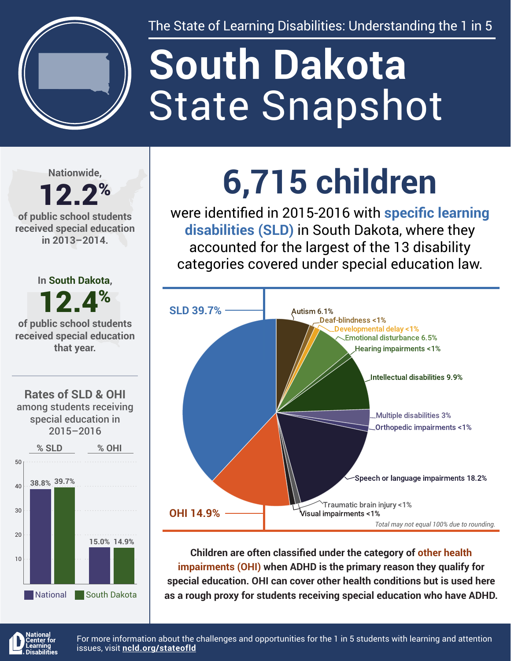

The State of Learning Disabilities: Understanding the 1 in 5

# State Snapshot **South Dakota**

**Nationwide,**

#### 12.2% **of public school students received special education in 2013–2014.**



**6,715 children**

were identified in 2015-2016 with **specific learning disabilities (SLD)** in South Dakota, where they accounted for the largest of the 13 disability categories covered under special education law.



**Children are often classified under the category of other health impairments (OHI) when ADHD is the primary reason they qualify for special education. OHI can cover other health conditions but is used here as a rough proxy for students receiving special education who have ADHD.**



For more information about the challenges and opportunities for the 1 in 5 students with learning and attention issues, visit **[ncld.org/stateofld](http://ncld.org/stateofld)**